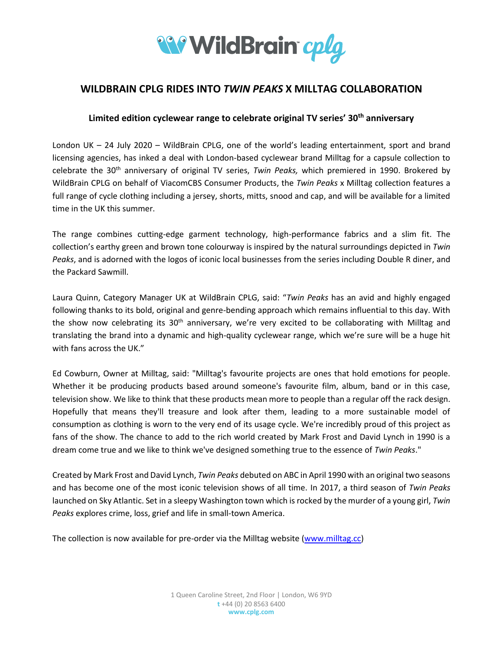

## **WILDBRAIN CPLG RIDES INTO** *TWIN PEAKS* **X MILLTAG COLLABORATION**

## **Limited edition cyclewear range to celebrate original TV series' 30th anniversary**

London UK – 24 July 2020 – WildBrain CPLG, one of the world's leading entertainment, sport and brand licensing agencies, has inked a deal with London-based cyclewear brand Milltag for a capsule collection to celebrate the 30th anniversary of original TV series, *Twin Peaks,* which premiered in 1990. Brokered by WildBrain CPLG on behalf of ViacomCBS Consumer Products, the *Twin Peaks* x Milltag collection features a full range of cycle clothing including a jersey, shorts, mitts, snood and cap, and will be available for a limited time in the UK this summer.

The range combines cutting-edge garment technology, high-performance fabrics and a slim fit. The collection's earthy green and brown tone colourway is inspired by the natural surroundings depicted in *Twin Peaks*, and is adorned with the logos of iconic local businesses from the series including Double R diner, and the Packard Sawmill.

Laura Quinn, Category Manager UK at WildBrain CPLG, said: "*Twin Peaks* has an avid and highly engaged following thanks to its bold, original and genre-bending approach which remains influential to this day. With the show now celebrating its 30<sup>th</sup> anniversary, we're very excited to be collaborating with Milltag and translating the brand into a dynamic and high-quality cyclewear range, which we're sure will be a huge hit with fans across the UK."

Ed Cowburn, Owner at Milltag, said: "Milltag's favourite projects are ones that hold emotions for people. Whether it be producing products based around someone's favourite film, album, band or in this case, television show. We like to think that these products mean more to people than a regular off the rack design. Hopefully that means they'll treasure and look after them, leading to a more sustainable model of consumption as clothing is worn to the very end of its usage cycle. We're incredibly proud of this project as fans of the show. The chance to add to the rich world created by Mark Frost and David Lynch in 1990 is a dream come true and we like to think we've designed something true to the essence of *Twin Peaks*."

Created by Mark Frost and David Lynch, *Twin Peaks* debuted on ABC in April 1990 with an original two seasons and has become one of the most iconic television shows of all time. In 2017, a third season of *Twin Peaks* launched on Sky Atlantic. Set in a sleepy Washington town which is rocked by the murder of a young girl, *Twin Peaks* explores crime, loss, grief and life in small-town America.

The collection is now available for pre-order via the Milltag website [\(www.milltag.cc\)](http://www.milltag.cc/)